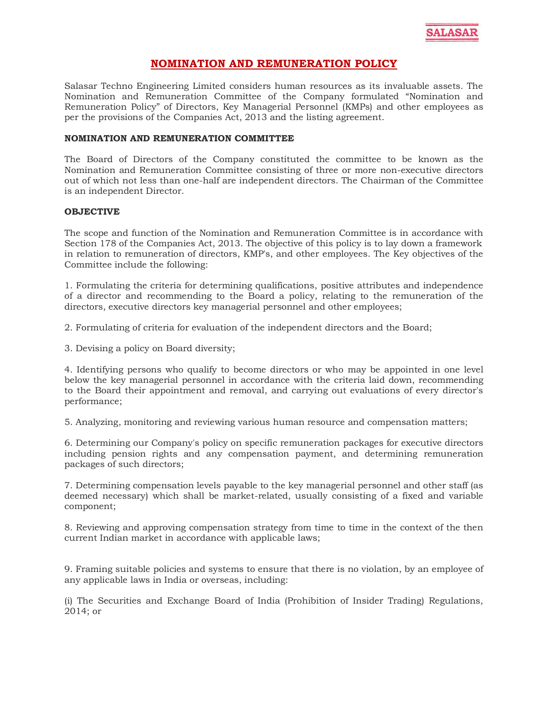

# **NOMINATION AND REMUNERATION POLICY**

Salasar Techno Engineering Limited considers human resources as its invaluable assets. The Nomination and Remuneration Committee of the Company formulated "Nomination and Remuneration Policy" of Directors, Key Managerial Personnel (KMPs) and other employees as per the provisions of the Companies Act, 2013 and the listing agreement.

## **NOMINATION AND REMUNERATION COMMITTEE**

The Board of Directors of the Company constituted the committee to be known as the Nomination and Remuneration Committee consisting of three or more non-executive directors out of which not less than one-half are independent directors. The Chairman of the Committee is an independent Director.

### **OBJECTIVE**

The scope and function of the Nomination and Remuneration Committee is in accordance with Section 178 of the Companies Act, 2013. The objective of this policy is to lay down a framework in relation to remuneration of directors, KMP's, and other employees. The Key objectives of the Committee include the following:

1. Formulating the criteria for determining qualifications, positive attributes and independence of a director and recommending to the Board a policy, relating to the remuneration of the directors, executive directors key managerial personnel and other employees;

2. Formulating of criteria for evaluation of the independent directors and the Board;

3. Devising a policy on Board diversity;

4. Identifying persons who qualify to become directors or who may be appointed in one level below the key managerial personnel in accordance with the criteria laid down, recommending to the Board their appointment and removal, and carrying out evaluations of every director's performance;

5. Analyzing, monitoring and reviewing various human resource and compensation matters;

6. Determining our Company's policy on specific remuneration packages for executive directors including pension rights and any compensation payment, and determining remuneration packages of such directors;

7. Determining compensation levels payable to the key managerial personnel and other staff (as deemed necessary) which shall be market-related, usually consisting of a fixed and variable component;

8. Reviewing and approving compensation strategy from time to time in the context of the then current Indian market in accordance with applicable laws;

9. Framing suitable policies and systems to ensure that there is no violation, by an employee of any applicable laws in India or overseas, including:

(i) The Securities and Exchange Board of India (Prohibition of Insider Trading) Regulations, 2014; or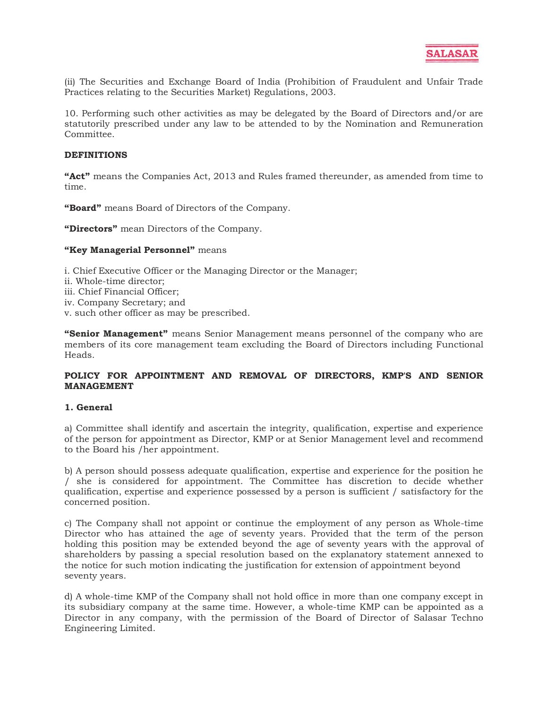

(ii) The Securities and Exchange Board of India (Prohibition of Fraudulent and Unfair Trade Practices relating to the Securities Market) Regulations, 2003.

10. Performing such other activities as may be delegated by the Board of Directors and/or are statutorily prescribed under any law to be attended to by the Nomination and Remuneration Committee.

#### **DEFINITIONS**

**"Act"** means the Companies Act, 2013 and Rules framed thereunder, as amended from time to time.

**"Board"** means Board of Directors of the Company.

**"Directors"** mean Directors of the Company.

#### **"Key Managerial Personnel"** means

i. Chief Executive Officer or the Managing Director or the Manager;

- ii. Whole-time director;
- iii. Chief Financial Officer;
- iv. Company Secretary; and
- v. such other officer as may be prescribed.

**"Senior Management"** means Senior Management means personnel of the company who are members of its core management team excluding the Board of Directors including Functional Heads.

#### **POLICY FOR APPOINTMENT AND REMOVAL OF DIRECTORS, KMP'S AND SENIOR MANAGEMENT**

#### **1. General**

a) Committee shall identify and ascertain the integrity, qualification, expertise and experience of the person for appointment as Director, KMP or at Senior Management level and recommend to the Board his /her appointment.

b) A person should possess adequate qualification, expertise and experience for the position he / she is considered for appointment. The Committee has discretion to decide whether qualification, expertise and experience possessed by a person is sufficient / satisfactory for the concerned position.

c) The Company shall not appoint or continue the employment of any person as Whole-time Director who has attained the age of seventy years. Provided that the term of the person holding this position may be extended beyond the age of seventy years with the approval of shareholders by passing a special resolution based on the explanatory statement annexed to the notice for such motion indicating the justification for extension of appointment beyond seventy years.

d) A whole-time KMP of the Company shall not hold office in more than one company except in its subsidiary company at the same time. However, a whole-time KMP can be appointed as a Director in any company, with the permission of the Board of Director of Salasar Techno Engineering Limited.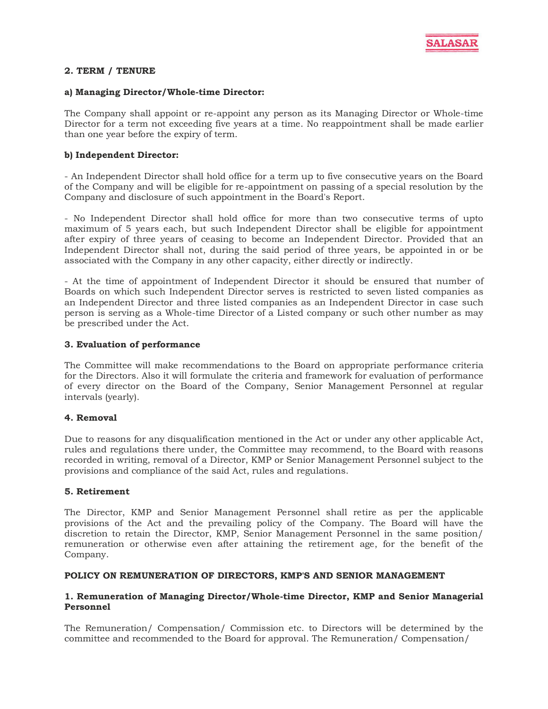

### **2. TERM / TENURE**

#### **a) Managing Director/Whole-time Director:**

The Company shall appoint or re-appoint any person as its Managing Director or Whole-time Director for a term not exceeding five years at a time. No reappointment shall be made earlier than one year before the expiry of term.

#### **b) Independent Director:**

- An Independent Director shall hold office for a term up to five consecutive years on the Board of the Company and will be eligible for re-appointment on passing of a special resolution by the Company and disclosure of such appointment in the Board's Report.

- No Independent Director shall hold office for more than two consecutive terms of upto maximum of 5 years each, but such Independent Director shall be eligible for appointment after expiry of three years of ceasing to become an Independent Director. Provided that an Independent Director shall not, during the said period of three years, be appointed in or be associated with the Company in any other capacity, either directly or indirectly.

- At the time of appointment of Independent Director it should be ensured that number of Boards on which such Independent Director serves is restricted to seven listed companies as an Independent Director and three listed companies as an Independent Director in case such person is serving as a Whole-time Director of a Listed company or such other number as may be prescribed under the Act.

#### **3. Evaluation of performance**

The Committee will make recommendations to the Board on appropriate performance criteria for the Directors. Also it will formulate the criteria and framework for evaluation of performance of every director on the Board of the Company, Senior Management Personnel at regular intervals (yearly).

#### **4. Removal**

Due to reasons for any disqualification mentioned in the Act or under any other applicable Act, rules and regulations there under, the Committee may recommend, to the Board with reasons recorded in writing, removal of a Director, KMP or Senior Management Personnel subject to the provisions and compliance of the said Act, rules and regulations.

#### **5. Retirement**

The Director, KMP and Senior Management Personnel shall retire as per the applicable provisions of the Act and the prevailing policy of the Company. The Board will have the discretion to retain the Director, KMP, Senior Management Personnel in the same position/ remuneration or otherwise even after attaining the retirement age, for the benefit of the Company.

## **POLICY ON REMUNERATION OF DIRECTORS, KMP'S AND SENIOR MANAGEMENT**

## **1. Remuneration of Managing Director/Whole-time Director, KMP and Senior Managerial Personnel**

The Remuneration/ Compensation/ Commission etc. to Directors will be determined by the committee and recommended to the Board for approval. The Remuneration/ Compensation/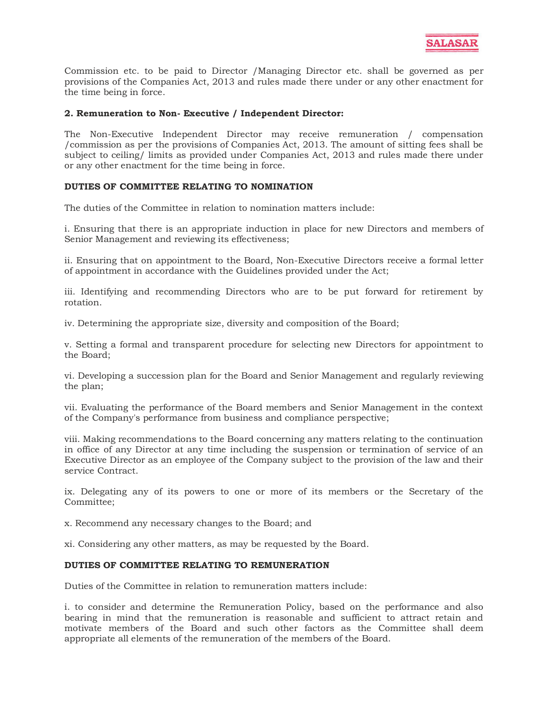

Commission etc. to be paid to Director /Managing Director etc. shall be governed as per provisions of the Companies Act, 2013 and rules made there under or any other enactment for the time being in force.

### **2. Remuneration to Non- Executive / Independent Director:**

The Non-Executive Independent Director may receive remuneration / compensation /commission as per the provisions of Companies Act, 2013. The amount of sitting fees shall be subject to ceiling/ limits as provided under Companies Act, 2013 and rules made there under or any other enactment for the time being in force.

## **DUTIES OF COMMITTEE RELATING TO NOMINATION**

The duties of the Committee in relation to nomination matters include:

i. Ensuring that there is an appropriate induction in place for new Directors and members of Senior Management and reviewing its effectiveness;

ii. Ensuring that on appointment to the Board, Non-Executive Directors receive a formal letter of appointment in accordance with the Guidelines provided under the Act;

iii. Identifying and recommending Directors who are to be put forward for retirement by rotation.

iv. Determining the appropriate size, diversity and composition of the Board;

v. Setting a formal and transparent procedure for selecting new Directors for appointment to the Board;

vi. Developing a succession plan for the Board and Senior Management and regularly reviewing the plan;

vii. Evaluating the performance of the Board members and Senior Management in the context of the Company's performance from business and compliance perspective;

viii. Making recommendations to the Board concerning any matters relating to the continuation in office of any Director at any time including the suspension or termination of service of an Executive Director as an employee of the Company subject to the provision of the law and their service Contract.

ix. Delegating any of its powers to one or more of its members or the Secretary of the Committee;

x. Recommend any necessary changes to the Board; and

xi. Considering any other matters, as may be requested by the Board.

#### **DUTIES OF COMMITTEE RELATING TO REMUNERATION**

Duties of the Committee in relation to remuneration matters include:

i. to consider and determine the Remuneration Policy, based on the performance and also bearing in mind that the remuneration is reasonable and sufficient to attract retain and motivate members of the Board and such other factors as the Committee shall deem appropriate all elements of the remuneration of the members of the Board.